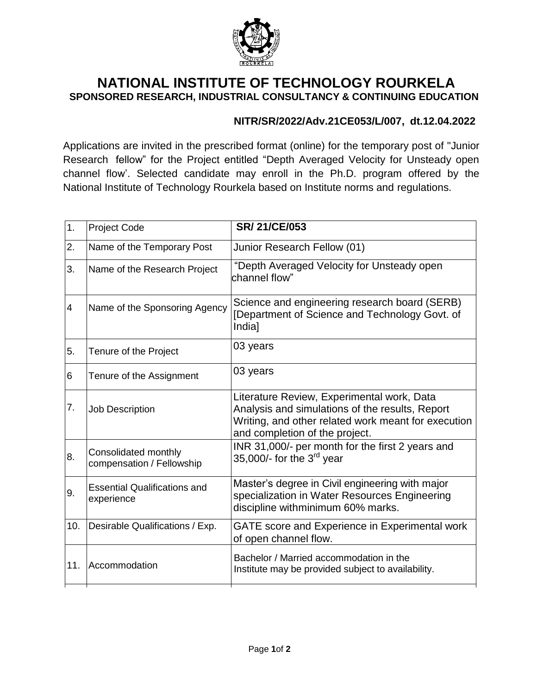

## **NATIONAL INSTITUTE OF TECHNOLOGY ROURKELA SPONSORED RESEARCH, INDUSTRIAL CONSULTANCY & CONTINUING EDUCATION**

## **NITR/SR/2022/Adv.21CE053/L/007, dt.12.04.2022**

Applications are invited in the prescribed format (online) for the temporary post of "Junior Research fellow" for the Project entitled "Depth Averaged Velocity for Unsteady open channel flow'. Selected candidate may enroll in the Ph.D. program offered by the National Institute of Technology Rourkela based on Institute norms and regulations.

| 1.             | <b>Project Code</b>                               | <b>SR/21/CE/053</b>                                                                                                                                                                    |
|----------------|---------------------------------------------------|----------------------------------------------------------------------------------------------------------------------------------------------------------------------------------------|
| 2.             | Name of the Temporary Post                        | Junior Research Fellow (01)                                                                                                                                                            |
| 3.             | Name of the Research Project                      | "Depth Averaged Velocity for Unsteady open<br>channel flow"                                                                                                                            |
| $\overline{4}$ | Name of the Sponsoring Agency                     | Science and engineering research board (SERB)<br>[Department of Science and Technology Govt. of<br>India]                                                                              |
| 5.             | Tenure of the Project                             | 03 years                                                                                                                                                                               |
| 6              | Tenure of the Assignment                          | 03 years                                                                                                                                                                               |
| 7.             | Job Description                                   | Literature Review, Experimental work, Data<br>Analysis and simulations of the results, Report<br>Writing, and other related work meant for execution<br>and completion of the project. |
| 8.             | Consolidated monthly<br>compensation / Fellowship | INR 31,000/- per month for the first 2 years and<br>35,000/- for the $3^{\text{rd}}$ year                                                                                              |
| 9.             | <b>Essential Qualifications and</b><br>experience | Master's degree in Civil engineering with major<br>specialization in Water Resources Engineering<br>discipline withminimum 60% marks.                                                  |
| 10.            | Desirable Qualifications / Exp.                   | GATE score and Experience in Experimental work<br>of open channel flow.                                                                                                                |
| 11.            | Accommodation                                     | Bachelor / Married accommodation in the<br>Institute may be provided subject to availability.                                                                                          |
|                |                                                   |                                                                                                                                                                                        |